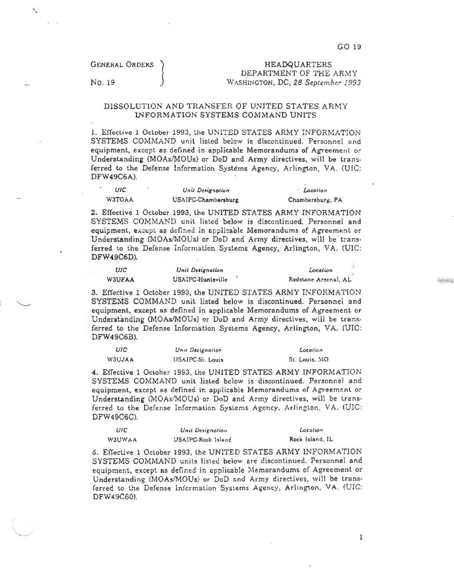**GENERAL ORDERS** 

No. 19

٦,

## **HEADQUARTERS** DEPARTMENT OF THE ARMY WASHINGTON, DC, 28 September 1993

## DISSOLUTION AND TRANSFER OF UNITED STATES ARMY INFORMATION SYSTEMS COMMAND UNITS

1. Effective 1 October 1993, the UNITED STATES ARMY INFORMATION SYSTEMS COMMAND unit listed below is discontinued. Personnel and equipment, except as defined in applicable Memorandums of Agreement or Understanding (MOAs/MOUs) or DoD and Army directives, will be transferred to the Defense Information Systems Agency, Arlington, VA. (UIC: DFW49C6A).

| UIC    | - | Unit Designation    | Location         |
|--------|---|---------------------|------------------|
| W3TOAA |   | USAIPC-Chambersburg | Chambersburg, PA |

2. Effective 1 October 1993, the UNITED STATES ARMY INFORMATION SYSTEMS COMMAND unit listed below is discontinued. Personnel and equipment, except as defined in applicable Memorandums of Agreement or Understanding (MOAs/MOUs) or DoD and Army directives, will be transferred to the Defense Information Systems Agency, Arlington, VA. (UIC: DFW49C6D).

| UIC    | Unit Designation  | Location             |
|--------|-------------------|----------------------|
| W3UFAA | USAIPC-Huntsville | Redstone Arsenal, AL |

3. Effective 1 October 1993, the UNITED STATES ARMY INFORMATION SYSTEMS COMMAND unit listed below is discontinued. Personnel and equipment, except as defined in applicable Memorandums of Agreement or Understanding (MOAs/MOUs) or DoD and Army directives, will be transferred to the Defense Information Systems Agency, Arlington, VA. (UIC: DFW49C6B).

| UІС    | Unit Designation | Location      |
|--------|------------------|---------------|
| W3UJAA | USAIPC-St. Louis | St. Louis, MO |

4. Effective 1 October 1993, the UNITED STATES ARMY INFORMATION SYSTEMS COMMAND unit listed below is discontinued. Personnel and equipment, except as defined in applicable Memorandums of Agreement or Understanding (MOAs/MOUs) or DoD and Army directives, will be transferred to the Defense Information Systems Agency, Arlington, VA. (UIC: DFW49C6C).

| UIC     | Unit Designation   | Location        |
|---------|--------------------|-----------------|
| W3UWAA. | USAIPC-Rock Island | Rock Island, IL |

5. Effective 1 October 1993, the UNITED STATES ARMY INFORMATION SYSTEMS COMMAND units listed below are discontinued. Personnel and equipment, except as defined in applicable Memorandums of Agreement or Understanding (MOAs/MOUs) or DoD and Army directives, will be transferred to the Defense Information Systems Agency, Arlington, VA. (UIC: DFW49C60).

**Sugar**